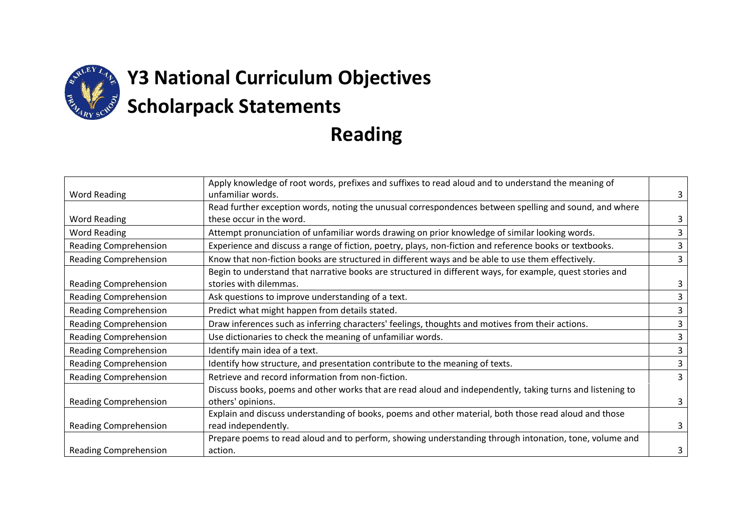

# **Y3 National Curriculum Objectives Scholarpack Statements**

 **Reading**

| <b>Word Reading</b>          | Apply knowledge of root words, prefixes and suffixes to read aloud and to understand the meaning of<br>unfamiliar words. | 3 |
|------------------------------|--------------------------------------------------------------------------------------------------------------------------|---|
|                              | Read further exception words, noting the unusual correspondences between spelling and sound, and where                   |   |
| <b>Word Reading</b>          | these occur in the word.                                                                                                 | 3 |
| <b>Word Reading</b>          | Attempt pronunciation of unfamiliar words drawing on prior knowledge of similar looking words.                           | 3 |
| <b>Reading Comprehension</b> | Experience and discuss a range of fiction, poetry, plays, non-fiction and reference books or textbooks.                  | 3 |
| <b>Reading Comprehension</b> | Know that non-fiction books are structured in different ways and be able to use them effectively.                        | 3 |
|                              | Begin to understand that narrative books are structured in different ways, for example, quest stories and                |   |
| <b>Reading Comprehension</b> | stories with dilemmas.                                                                                                   | 3 |
| Reading Comprehension        | Ask questions to improve understanding of a text.                                                                        | 3 |
| <b>Reading Comprehension</b> | Predict what might happen from details stated.                                                                           | 3 |
| <b>Reading Comprehension</b> | Draw inferences such as inferring characters' feelings, thoughts and motives from their actions.                         | 3 |
| <b>Reading Comprehension</b> | Use dictionaries to check the meaning of unfamiliar words.                                                               | 3 |
| Reading Comprehension        | Identify main idea of a text.                                                                                            | 3 |
| <b>Reading Comprehension</b> | Identify how structure, and presentation contribute to the meaning of texts.                                             | 3 |
| <b>Reading Comprehension</b> | Retrieve and record information from non-fiction.                                                                        | 3 |
|                              | Discuss books, poems and other works that are read aloud and independently, taking turns and listening to                |   |
| Reading Comprehension        | others' opinions.                                                                                                        | 3 |
|                              | Explain and discuss understanding of books, poems and other material, both those read aloud and those                    |   |
| <b>Reading Comprehension</b> | read independently.                                                                                                      | 3 |
|                              | Prepare poems to read aloud and to perform, showing understanding through intonation, tone, volume and                   |   |
| <b>Reading Comprehension</b> | action.                                                                                                                  | 3 |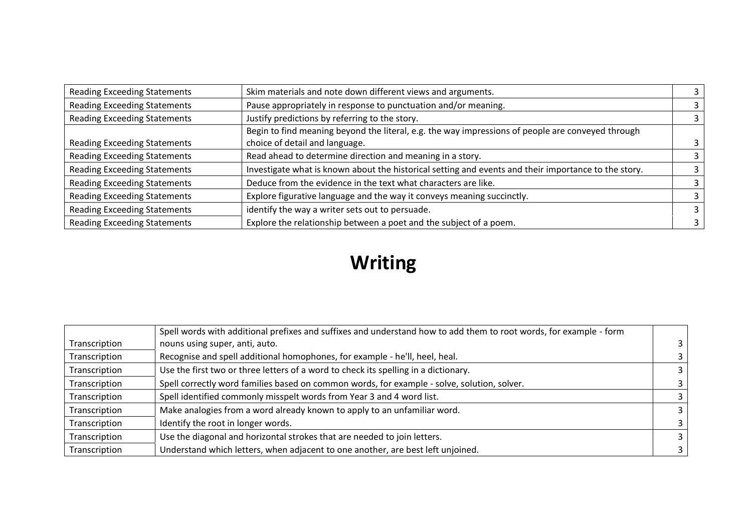| <b>Reading Exceeding Statements</b> | Skim materials and note down different views and arguments.                                          |   |
|-------------------------------------|------------------------------------------------------------------------------------------------------|---|
| <b>Reading Exceeding Statements</b> | Pause appropriately in response to punctuation and/or meaning.                                       |   |
| <b>Reading Exceeding Statements</b> | Justify predictions by referring to the story.                                                       |   |
|                                     | Begin to find meaning beyond the literal, e.g. the way impressions of people are conveyed through    |   |
| <b>Reading Exceeding Statements</b> | choice of detail and language.                                                                       |   |
| <b>Reading Exceeding Statements</b> | Read ahead to determine direction and meaning in a story.                                            |   |
| <b>Reading Exceeding Statements</b> | Investigate what is known about the historical setting and events and their importance to the story. |   |
| <b>Reading Exceeding Statements</b> | Deduce from the evidence in the text what characters are like.                                       |   |
| <b>Reading Exceeding Statements</b> | Explore figurative language and the way it conveys meaning succinctly.                               |   |
| <b>Reading Exceeding Statements</b> | identify the way a writer sets out to persuade.                                                      |   |
| <b>Reading Exceeding Statements</b> | Explore the relationship between a poet and the subject of a poem.                                   | 3 |

#### **Writing**

|               | Spell words with additional prefixes and suffixes and understand how to add them to root words, for example - form |   |
|---------------|--------------------------------------------------------------------------------------------------------------------|---|
| Transcription | nouns using super, anti, auto.                                                                                     | 3 |
| Transcription | Recognise and spell additional homophones, for example - he'll, heel, heal.                                        |   |
| Transcription | Use the first two or three letters of a word to check its spelling in a dictionary.                                |   |
| Transcription | Spell correctly word families based on common words, for example - solve, solution, solver.                        |   |
| Transcription | Spell identified commonly misspelt words from Year 3 and 4 word list.                                              |   |
| Transcription | Make analogies from a word already known to apply to an unfamiliar word.                                           |   |
| Transcription | Identify the root in longer words.                                                                                 |   |
| Transcription | Use the diagonal and horizontal strokes that are needed to join letters.                                           |   |
| Transcription | Understand which letters, when adjacent to one another, are best left unjoined.                                    |   |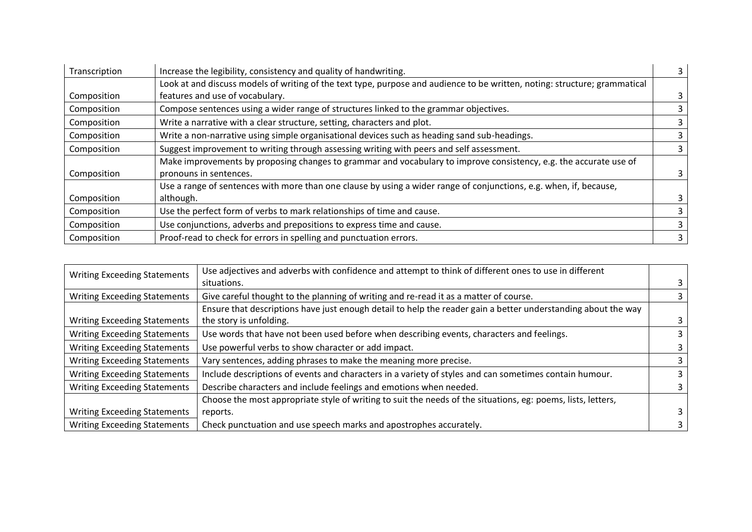| Transcription | Increase the legibility, consistency and quality of handwriting.                                                           | 3 |
|---------------|----------------------------------------------------------------------------------------------------------------------------|---|
|               | Look at and discuss models of writing of the text type, purpose and audience to be written, noting: structure; grammatical |   |
| Composition   | features and use of vocabulary.                                                                                            | 3 |
| Composition   | Compose sentences using a wider range of structures linked to the grammar objectives.                                      |   |
| Composition   | Write a narrative with a clear structure, setting, characters and plot.                                                    | 3 |
| Composition   | Write a non-narrative using simple organisational devices such as heading sand sub-headings.                               |   |
| Composition   | Suggest improvement to writing through assessing writing with peers and self assessment.                                   | 3 |
|               | Make improvements by proposing changes to grammar and vocabulary to improve consistency, e.g. the accurate use of          |   |
| Composition   | pronouns in sentences.                                                                                                     |   |
|               | Use a range of sentences with more than one clause by using a wider range of conjunctions, e.g. when, if, because,         |   |
| Composition   | although.                                                                                                                  |   |
| Composition   | Use the perfect form of verbs to mark relationships of time and cause.                                                     | 3 |
| Composition   | Use conjunctions, adverbs and prepositions to express time and cause.                                                      | 3 |
| Composition   | Proof-read to check for errors in spelling and punctuation errors.                                                         | 3 |

| <b>Writing Exceeding Statements</b> | Use adjectives and adverbs with confidence and attempt to think of different ones to use in different         |  |
|-------------------------------------|---------------------------------------------------------------------------------------------------------------|--|
|                                     | situations.                                                                                                   |  |
| <b>Writing Exceeding Statements</b> | Give careful thought to the planning of writing and re-read it as a matter of course.                         |  |
|                                     | Ensure that descriptions have just enough detail to help the reader gain a better understanding about the way |  |
| <b>Writing Exceeding Statements</b> | the story is unfolding.                                                                                       |  |
| <b>Writing Exceeding Statements</b> | Use words that have not been used before when describing events, characters and feelings.                     |  |
| <b>Writing Exceeding Statements</b> | Use powerful verbs to show character or add impact.                                                           |  |
| <b>Writing Exceeding Statements</b> | Vary sentences, adding phrases to make the meaning more precise.                                              |  |
| <b>Writing Exceeding Statements</b> | Include descriptions of events and characters in a variety of styles and can sometimes contain humour.        |  |
| <b>Writing Exceeding Statements</b> | Describe characters and include feelings and emotions when needed.                                            |  |
|                                     | Choose the most appropriate style of writing to suit the needs of the situations, eg: poems, lists, letters,  |  |
| <b>Writing Exceeding Statements</b> | reports.                                                                                                      |  |
| <b>Writing Exceeding Statements</b> | Check punctuation and use speech marks and apostrophes accurately.                                            |  |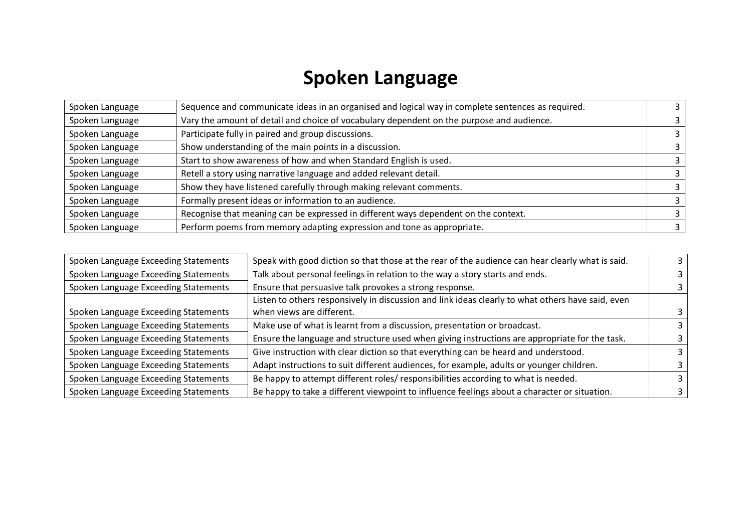## **Spoken Language**

| Spoken Language | Sequence and communicate ideas in an organised and logical way in complete sentences as required. |  |
|-----------------|---------------------------------------------------------------------------------------------------|--|
| Spoken Language | Vary the amount of detail and choice of vocabulary dependent on the purpose and audience.         |  |
| Spoken Language | Participate fully in paired and group discussions.                                                |  |
| Spoken Language | Show understanding of the main points in a discussion.                                            |  |
| Spoken Language | Start to show awareness of how and when Standard English is used.                                 |  |
| Spoken Language | Retell a story using narrative language and added relevant detail.                                |  |
| Spoken Language | Show they have listened carefully through making relevant comments.                               |  |
| Spoken Language | Formally present ideas or information to an audience.                                             |  |
| Spoken Language | Recognise that meaning can be expressed in different ways dependent on the context.               |  |
| Spoken Language | Perform poems from memory adapting expression and tone as appropriate.                            |  |

| Spoken Language Exceeding Statements | Speak with good diction so that those at the rear of the audience can hear clearly what is said.  |   |
|--------------------------------------|---------------------------------------------------------------------------------------------------|---|
| Spoken Language Exceeding Statements | Talk about personal feelings in relation to the way a story starts and ends.                      |   |
| Spoken Language Exceeding Statements | Ensure that persuasive talk provokes a strong response.                                           |   |
|                                      | Listen to others responsively in discussion and link ideas clearly to what others have said, even |   |
| Spoken Language Exceeding Statements | when views are different.                                                                         | 3 |
| Spoken Language Exceeding Statements | Make use of what is learnt from a discussion, presentation or broadcast.                          |   |
| Spoken Language Exceeding Statements | Ensure the language and structure used when giving instructions are appropriate for the task.     |   |
| Spoken Language Exceeding Statements | Give instruction with clear diction so that everything can be heard and understood.               |   |
| Spoken Language Exceeding Statements | Adapt instructions to suit different audiences, for example, adults or younger children.          |   |
| Spoken Language Exceeding Statements | Be happy to attempt different roles/ responsibilities according to what is needed.                |   |
| Spoken Language Exceeding Statements | Be happy to take a different viewpoint to influence feelings about a character or situation.      |   |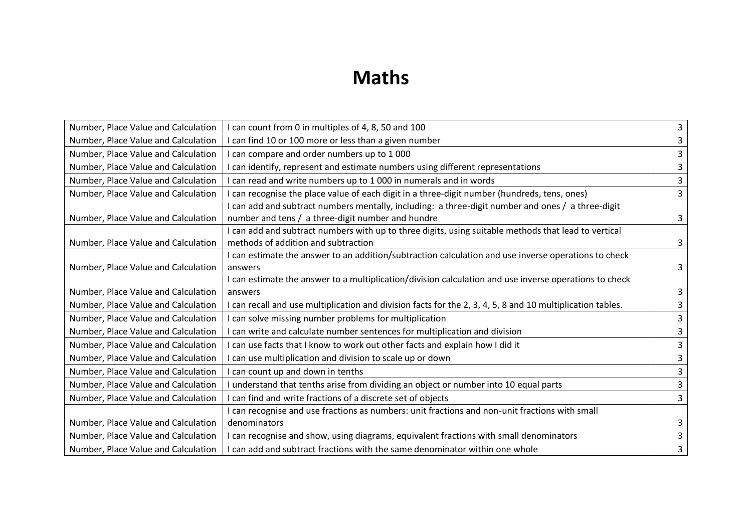## **Maths**

| Number, Place Value and Calculation | I can count from 0 in multiples of 4, 8, 50 and 100                                                        | 3                       |
|-------------------------------------|------------------------------------------------------------------------------------------------------------|-------------------------|
| Number, Place Value and Calculation | I can find 10 or 100 more or less than a given number                                                      | 3                       |
| Number, Place Value and Calculation | I can compare and order numbers up to 1 000                                                                | 3                       |
| Number, Place Value and Calculation | I can identify, represent and estimate numbers using different representations                             | 3                       |
| Number, Place Value and Calculation | I can read and write numbers up to 1 000 in numerals and in words                                          | 3                       |
| Number, Place Value and Calculation | I can recognise the place value of each digit in a three-digit number (hundreds, tens, ones)               | 3                       |
|                                     | I can add and subtract numbers mentally, including: a three-digit number and ones / a three-digit          |                         |
| Number, Place Value and Calculation | number and tens / a three-digit number and hundre                                                          | 3                       |
|                                     | I can add and subtract numbers with up to three digits, using suitable methods that lead to vertical       |                         |
| Number, Place Value and Calculation | methods of addition and subtraction                                                                        | 3                       |
|                                     | I can estimate the answer to an addition/subtraction calculation and use inverse operations to check       |                         |
| Number, Place Value and Calculation | answers                                                                                                    | 3                       |
|                                     | I can estimate the answer to a multiplication/division calculation and use inverse operations to check     |                         |
| Number, Place Value and Calculation | answers                                                                                                    | $\overline{3}$          |
| Number, Place Value and Calculation | I can recall and use multiplication and division facts for the 2, 3, 4, 5, 8 and 10 multiplication tables. | $\overline{\mathbf{3}}$ |
| Number, Place Value and Calculation | I can solve missing number problems for multiplication                                                     | 3                       |
| Number, Place Value and Calculation | I can write and calculate number sentences for multiplication and division                                 | $\mathbf{3}$            |
| Number, Place Value and Calculation | I can use facts that I know to work out other facts and explain how I did it                               | 3                       |
| Number, Place Value and Calculation | I can use multiplication and division to scale up or down                                                  | 3                       |
| Number, Place Value and Calculation | I can count up and down in tenths                                                                          | 3                       |
| Number, Place Value and Calculation | I understand that tenths arise from dividing an object or number into 10 equal parts                       | $\mathbf{3}$            |
| Number, Place Value and Calculation | I can find and write fractions of a discrete set of objects                                                | 3                       |
|                                     | I can recognise and use fractions as numbers: unit fractions and non-unit fractions with small             |                         |
| Number, Place Value and Calculation | denominators                                                                                               | 3                       |
| Number, Place Value and Calculation | I can recognise and show, using diagrams, equivalent fractions with small denominators                     | 3                       |
| Number, Place Value and Calculation | I can add and subtract fractions with the same denominator within one whole                                | 3                       |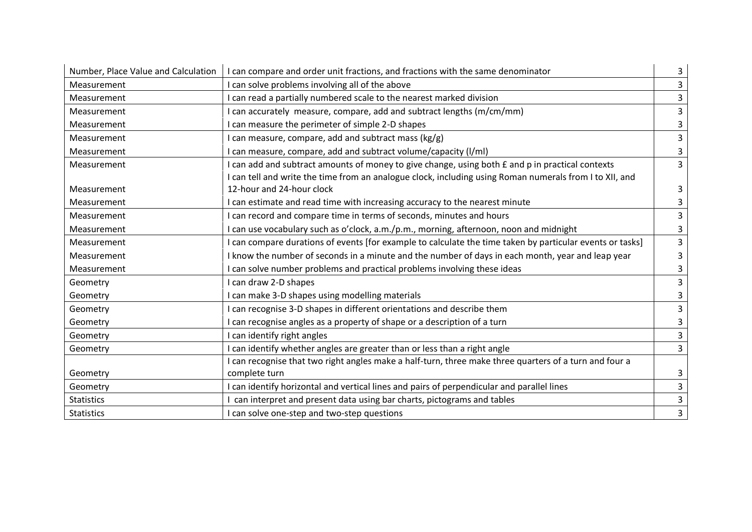| Number, Place Value and Calculation | I can compare and order unit fractions, and fractions with the same denominator                           | 3 |
|-------------------------------------|-----------------------------------------------------------------------------------------------------------|---|
| Measurement                         | I can solve problems involving all of the above                                                           | 3 |
| Measurement                         | I can read a partially numbered scale to the nearest marked division                                      | 3 |
| Measurement                         | I can accurately measure, compare, add and subtract lengths (m/cm/mm)                                     | 3 |
| Measurement                         | I can measure the perimeter of simple 2-D shapes                                                          | 3 |
| Measurement                         | I can measure, compare, add and subtract mass (kg/g)                                                      | 3 |
| Measurement                         | can measure, compare, add and subtract volume/capacity (I/mI)                                             | 3 |
| Measurement                         | I can add and subtract amounts of money to give change, using both £ and p in practical contexts          | 3 |
|                                     | I can tell and write the time from an analogue clock, including using Roman numerals from I to XII, and   |   |
| Measurement                         | 12-hour and 24-hour clock                                                                                 | 3 |
| Measurement                         | I can estimate and read time with increasing accuracy to the nearest minute                               | 3 |
| Measurement                         | I can record and compare time in terms of seconds, minutes and hours                                      | 3 |
| Measurement                         | I can use vocabulary such as o'clock, a.m./p.m., morning, afternoon, noon and midnight                    | 3 |
| Measurement                         | I can compare durations of events [for example to calculate the time taken by particular events or tasks] | 3 |
| Measurement                         | I know the number of seconds in a minute and the number of days in each month, year and leap year         | 3 |
| Measurement                         | I can solve number problems and practical problems involving these ideas                                  | 3 |
| Geometry                            | I can draw 2-D shapes                                                                                     | 3 |
| Geometry                            | I can make 3-D shapes using modelling materials                                                           | 3 |
| Geometry                            | I can recognise 3-D shapes in different orientations and describe them                                    | 3 |
| Geometry                            | I can recognise angles as a property of shape or a description of a turn                                  | 3 |
| Geometry                            | I can identify right angles                                                                               | 3 |
| Geometry                            | I can identify whether angles are greater than or less than a right angle                                 | 3 |
|                                     | I can recognise that two right angles make a half-turn, three make three quarters of a turn and four a    |   |
| Geometry                            | complete turn                                                                                             | 3 |
| Geometry                            | I can identify horizontal and vertical lines and pairs of perpendicular and parallel lines                | 3 |
| <b>Statistics</b>                   | can interpret and present data using bar charts, pictograms and tables                                    | 3 |
| <b>Statistics</b>                   | I can solve one-step and two-step questions                                                               | 3 |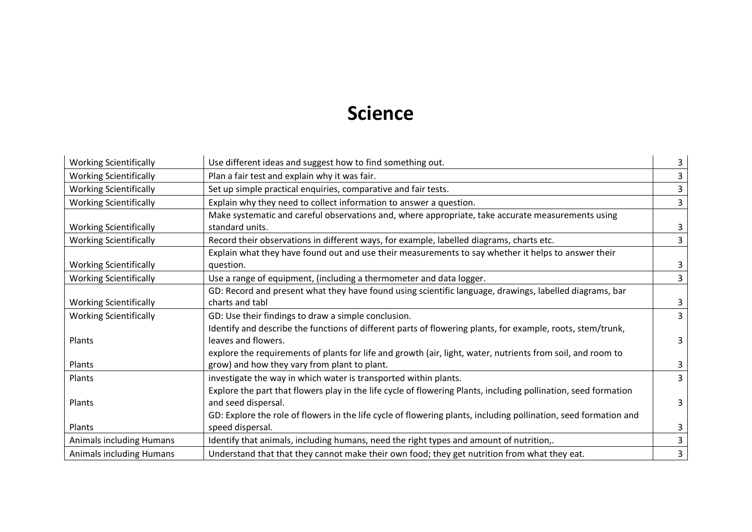#### **Science**

| <b>Working Scientifically</b>   | Use different ideas and suggest how to find something out.                                                       | 3                       |
|---------------------------------|------------------------------------------------------------------------------------------------------------------|-------------------------|
| <b>Working Scientifically</b>   | Plan a fair test and explain why it was fair.                                                                    | 3                       |
| <b>Working Scientifically</b>   | Set up simple practical enquiries, comparative and fair tests.                                                   | $\overline{\mathbf{3}}$ |
| <b>Working Scientifically</b>   | Explain why they need to collect information to answer a question.                                               | $\mathbf{3}$            |
|                                 | Make systematic and careful observations and, where appropriate, take accurate measurements using                |                         |
| <b>Working Scientifically</b>   | standard units.                                                                                                  | $\mathbf{3}$            |
| <b>Working Scientifically</b>   | Record their observations in different ways, for example, labelled diagrams, charts etc.                         | 3                       |
|                                 | Explain what they have found out and use their measurements to say whether it helps to answer their              |                         |
| <b>Working Scientifically</b>   | question.                                                                                                        | $\mathbf{3}$            |
| <b>Working Scientifically</b>   | Use a range of equipment, (including a thermometer and data logger.                                              | 3                       |
|                                 | GD: Record and present what they have found using scientific language, drawings, labelled diagrams, bar          |                         |
| <b>Working Scientifically</b>   | charts and tabl                                                                                                  | $\mathbf{3}$            |
| <b>Working Scientifically</b>   | GD: Use their findings to draw a simple conclusion.                                                              | $\overline{3}$          |
|                                 | Identify and describe the functions of different parts of flowering plants, for example, roots, stem/trunk,      |                         |
| Plants                          | leaves and flowers.                                                                                              | 3                       |
|                                 | explore the requirements of plants for life and growth (air, light, water, nutrients from soil, and room to      |                         |
| Plants                          | grow) and how they vary from plant to plant.                                                                     | $\overline{\mathbf{3}}$ |
| Plants                          | investigate the way in which water is transported within plants.                                                 | $\overline{3}$          |
|                                 | Explore the part that flowers play in the life cycle of flowering Plants, including pollination, seed formation  |                         |
| Plants                          | and seed dispersal.                                                                                              | 3                       |
|                                 | GD: Explore the role of flowers in the life cycle of flowering plants, including pollination, seed formation and |                         |
| Plants                          | speed dispersal.                                                                                                 | 3                       |
| Animals including Humans        | Identify that animals, including humans, need the right types and amount of nutrition,.                          | 3                       |
| <b>Animals including Humans</b> | Understand that that they cannot make their own food; they get nutrition from what they eat.                     | 3                       |
|                                 |                                                                                                                  |                         |